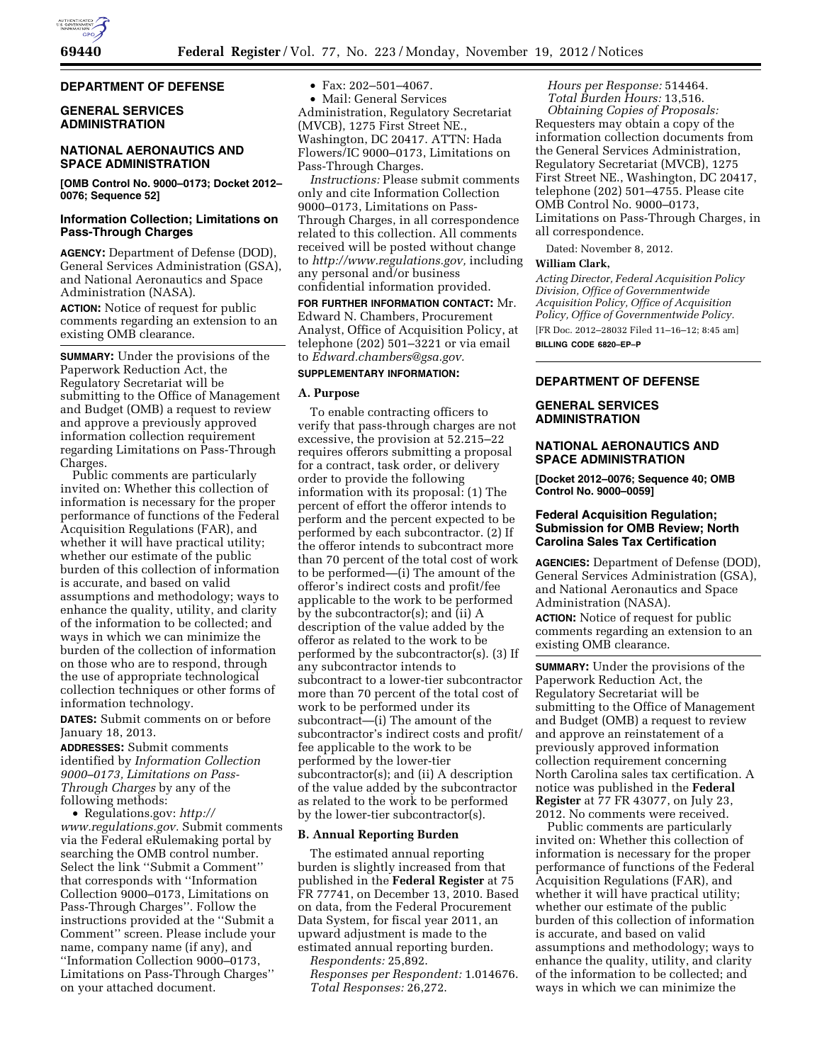### **DEPARTMENT OF DEFENSE**

# **GENERAL SERVICES ADMINISTRATION**

# **NATIONAL AERONAUTICS AND SPACE ADMINISTRATION**

**[OMB Control No. 9000–0173; Docket 2012– 0076; Sequence 52]** 

# **Information Collection; Limitations on Pass-Through Charges**

**AGENCY:** Department of Defense (DOD), General Services Administration (GSA), and National Aeronautics and Space Administration (NASA).

**ACTION:** Notice of request for public comments regarding an extension to an existing OMB clearance.

**SUMMARY:** Under the provisions of the Paperwork Reduction Act, the Regulatory Secretariat will be submitting to the Office of Management and Budget (OMB) a request to review and approve a previously approved information collection requirement regarding Limitations on Pass-Through Charges.

Public comments are particularly invited on: Whether this collection of information is necessary for the proper performance of functions of the Federal Acquisition Regulations (FAR), and whether it will have practical utility; whether our estimate of the public burden of this collection of information is accurate, and based on valid assumptions and methodology; ways to enhance the quality, utility, and clarity of the information to be collected; and ways in which we can minimize the burden of the collection of information on those who are to respond, through the use of appropriate technological collection techniques or other forms of information technology.

**DATES:** Submit comments on or before January 18, 2013.

**ADDRESSES:** Submit comments identified by *Information Collection 9000–0173, Limitations on Pass-Through Charges* by any of the following methods:

• Regulations.gov: *[http://](http://www.regulations.gov) [www.regulations.gov.](http://www.regulations.gov)* Submit comments via the Federal eRulemaking portal by searching the OMB control number. Select the link ''Submit a Comment'' that corresponds with ''Information Collection 9000–0173, Limitations on Pass-Through Charges''. Follow the instructions provided at the ''Submit a Comment'' screen. Please include your name, company name (if any), and ''Information Collection 9000–0173, Limitations on Pass-Through Charges'' on your attached document.

• Fax: 202–501–4067.

• Mail: General Services Administration, Regulatory Secretariat (MVCB), 1275 First Street NE., Washington, DC 20417. ATTN: Hada Flowers/IC 9000–0173, Limitations on Pass-Through Charges.

*Instructions:* Please submit comments only and cite Information Collection 9000–0173, Limitations on Pass-Through Charges, in all correspondence related to this collection. All comments received will be posted without change to *[http://www.regulations.gov,](http://www.regulations.gov)* including any personal and/or business confidential information provided.

**FOR FURTHER INFORMATION CONTACT:** Mr. Edward N. Chambers, Procurement Analyst, Office of Acquisition Policy, at telephone (202) 501–3221 or via email to *[Edward.chambers@gsa.gov.](mailto:Edward.chambers@gsa.gov)* 

### **SUPPLEMENTARY INFORMATION:**

### **A. Purpose**

To enable contracting officers to verify that pass-through charges are not excessive, the provision at 52.215–22 requires offerors submitting a proposal for a contract, task order, or delivery order to provide the following information with its proposal: (1) The percent of effort the offeror intends to perform and the percent expected to be performed by each subcontractor. (2) If the offeror intends to subcontract more than 70 percent of the total cost of work to be performed—(i) The amount of the offeror's indirect costs and profit/fee applicable to the work to be performed by the subcontractor(s); and (ii) A description of the value added by the offeror as related to the work to be performed by the subcontractor(s). (3) If any subcontractor intends to subcontract to a lower-tier subcontractor more than 70 percent of the total cost of work to be performed under its subcontract—(i) The amount of the subcontractor's indirect costs and profit/ fee applicable to the work to be performed by the lower-tier subcontractor(s); and (ii) A description of the value added by the subcontractor as related to the work to be performed by the lower-tier subcontractor(s).

# **B. Annual Reporting Burden**

The estimated annual reporting burden is slightly increased from that published in the **Federal Register** at 75 FR 77741, on December 13, 2010. Based on data, from the Federal Procurement Data System, for fiscal year 2011, an upward adjustment is made to the estimated annual reporting burden.

*Respondents:* 25,892. *Responses per Respondent:* 1.014676. *Total Responses:* 26,272.

*Hours per Response:* 514464. *Total Burden Hours:* 13,516. *Obtaining Copies of Proposals:*  Requesters may obtain a copy of the information collection documents from the General Services Administration, Regulatory Secretariat (MVCB), 1275 First Street NE., Washington, DC 20417, telephone (202) 501–4755. Please cite OMB Control No. 9000–0173, Limitations on Pass-Through Charges, in all correspondence.

Dated: November 8, 2012.

#### **William Clark,**

*Acting Director, Federal Acquisition Policy Division, Office of Governmentwide Acquisition Policy, Office of Acquisition Policy, Office of Governmentwide Policy.* 

[FR Doc. 2012–28032 Filed 11–16–12; 8:45 am] **BILLING CODE 6820–EP–P** 

### **DEPARTMENT OF DEFENSE**

# **GENERAL SERVICES ADMINISTRATION**

# **NATIONAL AERONAUTICS AND SPACE ADMINISTRATION**

**[Docket 2012–0076; Sequence 40; OMB Control No. 9000–0059]** 

# **Federal Acquisition Regulation; Submission for OMB Review; North Carolina Sales Tax Certification**

**AGENCIES:** Department of Defense (DOD), General Services Administration (GSA), and National Aeronautics and Space Administration (NASA).

**ACTION:** Notice of request for public comments regarding an extension to an existing OMB clearance.

**SUMMARY:** Under the provisions of the Paperwork Reduction Act, the Regulatory Secretariat will be submitting to the Office of Management and Budget (OMB) a request to review and approve an reinstatement of a previously approved information collection requirement concerning North Carolina sales tax certification. A notice was published in the **Federal Register** at 77 FR 43077, on July 23, 2012. No comments were received.

Public comments are particularly invited on: Whether this collection of information is necessary for the proper performance of functions of the Federal Acquisition Regulations (FAR), and whether it will have practical utility; whether our estimate of the public burden of this collection of information is accurate, and based on valid assumptions and methodology; ways to enhance the quality, utility, and clarity of the information to be collected; and ways in which we can minimize the